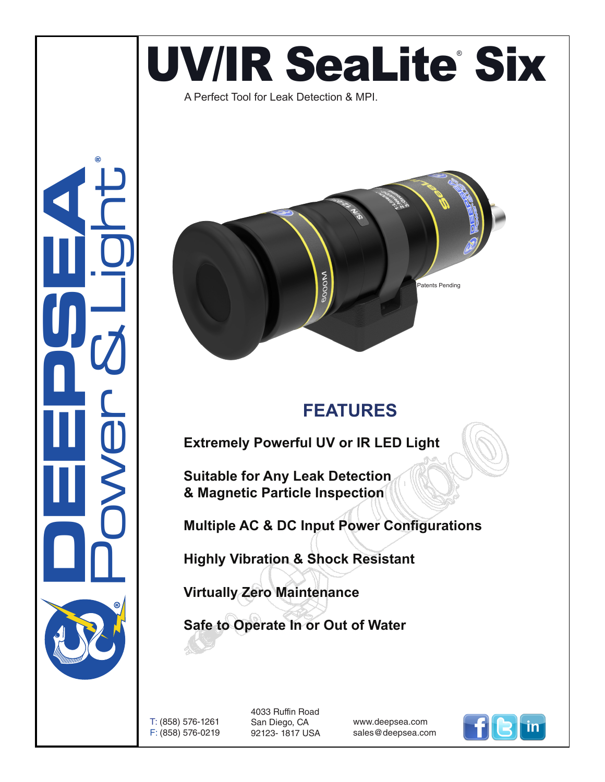# UV/IR SeaLite Six

A Perfect Tool for Leak Detection & MPI.





### **FEATURES**

**Extremely Powerful UV or IR LED Light**

**Suitable for Any Leak Detection & Magnetic Particle Inspection**

**Multiple AC & DC Input Power Configurations**

**Highly Vibration & Shock Resistant**

**Virtually Zero Maintenance** 

**Safe to Operate In or Out of Water**

T: (858) 576-1261 F: (858) 576-0219 4033 Ruffin Road San Diego, CA 92123- 1817 USA

www.deepsea.com sales@deepsea.com